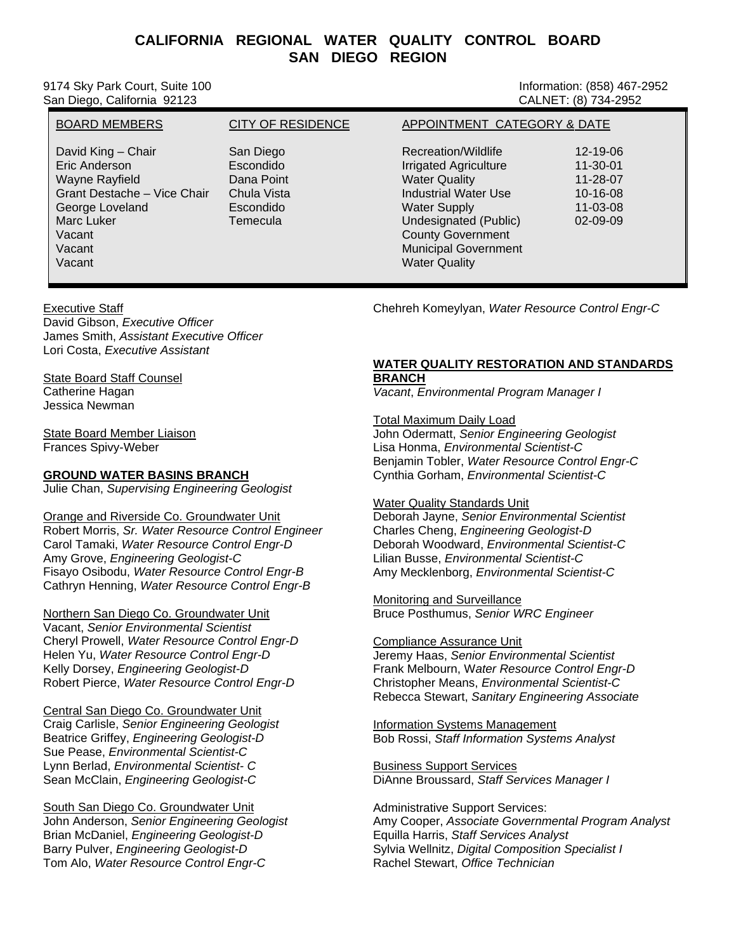# **CALIFORNIA REGIONAL WATER QUALITY CONTROL BOARD SAN DIEGO REGION**

9174 Sky Park Court, Suite 100 **Information: (858) 467-2952** Information: (858) 467-2952 San Diego, California 92123 CALNET: (8) 734-2952

BOARD MEMBERS **CITY OF RESIDENCE APPOINTMENT CATEGORY & DATE** David King – Chair **San Diego Chair San Diego Recreation/Wildlife** 12-19-06<br>San Diego Recreation/Wildlife 12-19-06<br>Fric Anderson 11-30-01 Eric Anderson Escondido Irrigated Agriculture 11-30-01 Wayne Rayfield Dana Point Water Quality 11-28-07 Grant Destache – Vice Chair Chula Vista **Industrial Water Use** 10-16-08 George Loveland Escondido Water Supply 11-03-08 Undesignated (Public) 02-09-09 Vacant County Government County Government County Government Vacant Municipal Government Vacant Water Quality

## Executive Staff

David Gibson, *Executive Officer* James Smith, *Assistant Executive Officer*  Lori Costa, *Executive Assistant*

State Board Staff Counsel Catherine Hagan Jessica Newman

State Board Member Liaison Frances Spivy-Weber

## **GROUND WATER BASINS BRANCH**

Julie Chan, *Supervising Engineering Geologist*

Orange and Riverside Co. Groundwater Unit Robert Morris, *Sr. Water Resource Control Engineer* Carol Tamaki, *Water Resource Control Engr-D* Amy Grove, *Engineering Geologist-C*  Fisayo Osibodu, *Water Resource Control Engr-B* Cathryn Henning, *Water Resource Control Engr-B*

Northern San Diego Co. Groundwater Unit Vacant, *Senior Environmental Scientist* Cheryl Prowell, *Water Resource Control Engr-D* Helen Yu, *Water Resource Control Engr-D* Kelly Dorsey, *Engineering Geologist-D*  Robert Pierce, *Water Resource Control Engr-D*

Central San Diego Co. Groundwater Unit Craig Carlisle, *Senior Engineering Geologist* Beatrice Griffey, *Engineering Geologist-D* Sue Pease, *Environmental Scientist-C* Lynn Berlad, *Environmental Scientist- C* Sean McClain, *Engineering Geologist-C*

South San Diego Co. Groundwater Unit John Anderson, *Senior Engineering Geologist* Brian McDaniel, *Engineering Geologist-D* Barry Pulver, *Engineering Geologist-D* Tom Alo, *Water Resource Control Engr-C* 

Chehreh Komeylyan, *Water Resource Control Engr-C*

# **WATER QUALITY RESTORATION AND STANDARDS BRANCH**

*Vacant*, *Environmental Program Manager I*

Total Maximum Daily Load John Odermatt, *Senior Engineering Geologist* Lisa Honma, *Environmental Scientist-C*  Benjamin Tobler, *Water Resource Control Engr-C*

Cynthia Gorham, *Environmental Scientist-C*

### Water Quality Standards Unit

Deborah Jayne, *Senior Environmental Scientist* harles Cheng, *Engineering Geologist-D* C *mental Scientist-C* Deborah Woodward, *Environ* my Mecklenborg, *Environmental Scientist-C* A Lilian Busse, *Environmental Scientist-C*

Monitoring and Surveillance Bruce Posthumus, *Senior WRC Engineer*

#### Compliance Assurance Unit Jeremy Haas, *Senior Environmental Scientist* Frank Melbourn, Water Resource Control Engr-D Rebecca Stewart, Sanitary Engineering Associate Christopher Means, *Environmental Scientist-C*

Information Systems Management Bob Rossi, *Staff Information Systems Analyst* 

Business Support Services DiAnne Broussard, *Staff Services Manager I*

Amy Cooper, Associate Governmental Program Analyst quilla Harris, *Staff Services Analyst*  E Sylvia Wellnitz, Digital Composition Specialist I achel Stewart, *Office Technician* RAdministrative Support Services: